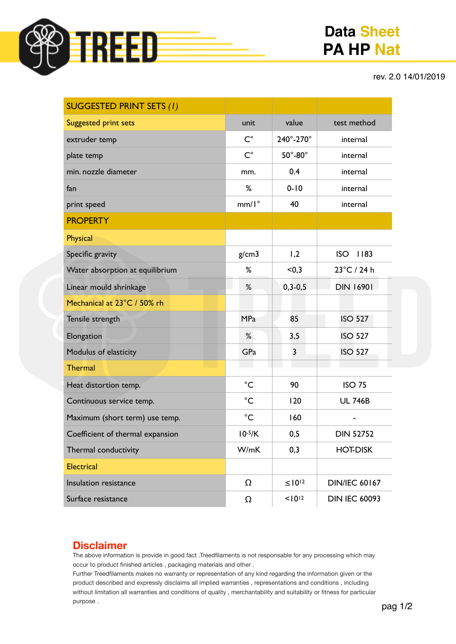

# **Data Sheet PA HP Nat**

#### rev. 2.0 14/01/2019

| <b>SUGGESTED PRINT SETS (1)</b>  |                |                         |                       |
|----------------------------------|----------------|-------------------------|-----------------------|
| <b>Suggested print sets</b>      | unit           | value                   | test method           |
| extruder temp                    | $C^{\circ}$    | 240°-270°               | internal              |
| plate temp                       | $C^{\circ}$    | $50^\circ$ -80 $^\circ$ | internal              |
| min. nozzle diameter             | mm.            | 0.4                     | internal              |
| fan                              | %              | $0 - 10$                | internal              |
| print speed                      | $mm/I^{\circ}$ | 40                      | internal              |
| <b>PROPERTY</b>                  |                |                         |                       |
| <b>Physical</b>                  |                |                         |                       |
| Specific gravity                 | g/cm3          | 1,2                     | <b>ISO</b><br>1183    |
| Water absorption at equilibrium  | %              | < 0, 3                  | $23^{\circ}$ C / 24 h |
| Linear mould shrinkage           | %              | $0, 3 - 0, 5$           | <b>DIN 16901</b>      |
| Mechanical at 23°C / 50% rh      |                |                         |                       |
| Tensile strength                 | <b>MPa</b>     | 85                      | <b>ISO 527</b>        |
| Elongation                       | %              | 3,5                     | <b>ISO 527</b>        |
| Modulus of elasticity            | GPa            | $\overline{3}$          | <b>ISO 527</b>        |
| <b>Thermal</b>                   |                |                         |                       |
| Heat distortion temp.            | $^{\circ}C$    | 90                      | <b>ISO 75</b>         |
| Continuous service temp.         | $^{\circ}C$    | 120                     | <b>UL 746B</b>        |
| Maximum (short term) use temp.   | $^{\circ}C$    | 160                     |                       |
| Coefficient of thermal expansion | $10^{-5}/K$    | 0,5                     | <b>DIN 52752</b>      |
| Thermal conductivity             | W/mK           | 0,3                     | <b>HOT-DISK</b>       |
| <b>Electrical</b>                |                |                         |                       |
| Insulation resistance            | Ω              | $\leq 10^{12}$          | <b>DIN/IEC 60167</b>  |
| Surface resistance               | $\Omega$       | $10^{12}$               | <b>DIN IEC 60093</b>  |

### **Disclaimer**

The above information is provide in good fact .Treedfilaments is not responsable for any processing which may occur to product finished articles , packaging materials and other .

Further Treedfilaments makes no warranty or representation of any kind regarding the information given or the product described and expressly disclaims all implied warranties , representations and conditions , including without limitation all warranties and conditions of quality , merchantability and suitability or fitness for particular purpose .